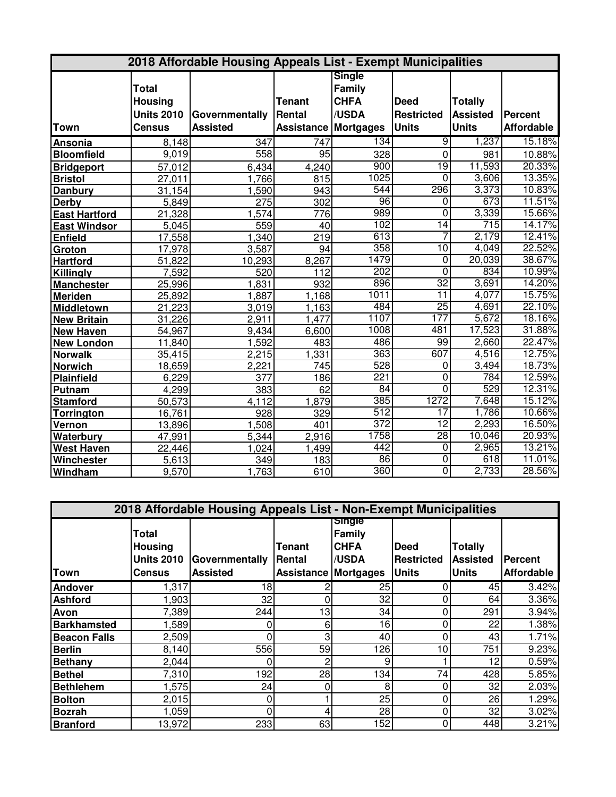| 2018 Affordable Housing Appeals List - Exempt Municipalities |                   |                  |                             |                                |                   |                 |                   |
|--------------------------------------------------------------|-------------------|------------------|-----------------------------|--------------------------------|-------------------|-----------------|-------------------|
|                                                              | <b>Total</b>      |                  |                             | <b>Single</b><br><b>Family</b> |                   |                 |                   |
|                                                              | <b>Housing</b>    |                  | <b>Tenant</b>               | <b>CHFA</b>                    | <b>Deed</b>       | <b>Totally</b>  |                   |
|                                                              | <b>Units 2010</b> | Governmentally   | Rental                      | /USDA                          | <b>Restricted</b> | <b>Assisted</b> | <b>Percent</b>    |
| <b>Town</b>                                                  | <b>Census</b>     | <b>Assisted</b>  | <b>Assistance Mortgages</b> |                                | <b>Units</b>      | <b>Units</b>    | <b>Affordable</b> |
| Ansonia                                                      | 8,148             | $\overline{347}$ | 747                         | 134                            | $\overline{9}$    | 1,237           | 15.18%            |
| <b>Bloomfield</b>                                            | 9,019             | 558              | $\overline{95}$             | 328                            | $\mathbf 0$       | 981             | 10.88%            |
| <b>Bridgeport</b>                                            | 57,012            | 6,434            | 4,240                       | 900                            | 19                | 11,593          | 20.33%            |
| <b>Bristol</b>                                               | 27,011            | 1,766            | 815                         | 1025                           | $\overline{0}$    | 3,606           | 13.35%            |
| <b>Danbury</b>                                               | 31,154            | 1,590            | 943                         | 544                            | 296               | 3,373           | 10.83%            |
| Derby                                                        | 5,849             | $\overline{275}$ | 302                         | 96                             | 0                 | 673             | 11.51%            |
| <b>East Hartford</b>                                         | 21,328            | 1,574            | 776                         | 989                            | $\overline{0}$    | 3,339           | 15.66%            |
| <b>East Windsor</b>                                          | 5,045             | 559              | 40                          | 102                            | 14                | 715             | 14.17%            |
| <b>Enfield</b>                                               | 17,558            | 1,340            | 219                         | 613                            | 7                 | 2,179           | 12.41%            |
| Groton                                                       | 17,978            | 3,587            | 94                          | 358                            | 10                | 4,049           | 22.52%            |
| <b>Hartford</b>                                              | 51,822            | 10,293           | 8,267                       | 1479                           | 0                 | 20,039          | 38.67%            |
| Killingly                                                    | 7,592             | 520              | 112                         | 202                            | 0                 | 834             | 10.99%            |
| <b>Manchester</b>                                            | 25,996            | 1,831            | 932                         | 896                            | $\overline{32}$   | 3,691           | 14.20%            |
| Meriden                                                      | 25,892            | 1,887            | 1,168                       | 1011                           | $\overline{11}$   | 4,077           | 15.75%            |
| Middletown                                                   | 21,223            | 3,019            | 1,163                       | 484                            | $\overline{25}$   | 4,691           | 22.10%            |
| <b>New Britain</b>                                           | 31,226            | 2,911            | 1,477                       | 1107                           | 177               | 5,672           | 18.16%            |
| <b>New Haven</b>                                             | 54,967            | 9,434            | 6,600                       | 1008                           | 481               | 17,523          | 31.88%            |
| <b>New London</b>                                            | 11,840            | 1,592            | 483                         | 486                            | 99                | 2,660           | 22.47%            |
| <b>Norwalk</b>                                               | 35,415            | 2,215            | 1,331                       | 363                            | 607               | 4,516           | 12.75%            |
| <b>Norwich</b>                                               | 18,659            | 2,221            | 745                         | 528                            | $\overline{0}$    | 3,494           | 18.73%            |
| Plainfield                                                   | 6,229             | 377              | 186                         | 221                            | 0                 | 784             | 12.59%            |
| Putnam                                                       | 4,299             | 383              | 62                          | 84                             | $\overline{0}$    | 529             | 12.31%            |
| <b>Stamford</b>                                              | 50,573            | 4,112            | 1,879                       | 385                            | 1272              | 7,648           | 15.12%            |
| <b>Torrington</b>                                            | 16,761            | 928              | 329                         | 512                            | $\overline{17}$   | 1,786           | 10.66%            |
| Vernon                                                       | 13,896            | 1,508            | 401                         | 372                            | $\overline{12}$   | 2,293           | 16.50%            |
| <b>Waterbury</b>                                             | 47,991            | 5,344            | 2,916                       | 1758                           | 28                | 10,046          | 20.93%            |
| <b>West Haven</b>                                            | 22,446            | 1,024            | 1,499                       | 442                            | 0                 | 2,965           | 13.21%            |
| Winchester                                                   | 5,613             | 349              | 183                         | 86                             | $\overline{0}$    | 618             | 11.01%            |
| Windham                                                      | 9,570             | 1,763            | 610                         | 360                            | $\overline{0}$    | 2,733           | 28.56%            |

| 2018 Affordable Housing Appeals List - Non-Exempt Municipalities |                                                                      |                                   |                                                  |                                                 |                                                  |                                                   |                              |  |
|------------------------------------------------------------------|----------------------------------------------------------------------|-----------------------------------|--------------------------------------------------|-------------------------------------------------|--------------------------------------------------|---------------------------------------------------|------------------------------|--|
| <b>Town</b>                                                      | <b>Total</b><br><b>Housing</b><br><b>Units 2010</b><br><b>Census</b> | Governmentally<br><b>Assisted</b> | Tenant<br>lRental<br><b>Assistance Mortgages</b> | <b>Single</b><br>Family<br><b>CHFA</b><br>/USDA | <b>Deed</b><br><b>Restricted</b><br><b>Units</b> | <b>Totally</b><br><b>Assisted</b><br><b>Units</b> | Percent<br><b>Affordable</b> |  |
| <b>Andover</b>                                                   | 1,317                                                                | 18                                |                                                  | 25                                              | 0                                                | 45                                                | 3.42%                        |  |
| <b>Ashford</b>                                                   | 1,903                                                                | 32                                | 0                                                | 32                                              | 0                                                | 64                                                | 3.36%                        |  |
| Avon                                                             | 7,389                                                                | 244                               | 13 <sub>1</sub>                                  | 34                                              | 0                                                | 291                                               | 3.94%                        |  |
| <b>Barkhamsted</b>                                               | 1,589                                                                | 0                                 | 6                                                | 16                                              | 0                                                | 22                                                | 1.38%                        |  |
| <b>Beacon Falls</b>                                              | 2,509                                                                | 0                                 | 3                                                | 40                                              | 0                                                | 43                                                | 1.71%                        |  |
| <b>Berlin</b>                                                    | 8,140                                                                | 556                               | 59                                               | 126                                             | 10                                               | 751                                               | 9.23%                        |  |
| <b>Bethany</b>                                                   | 2,044                                                                | 0                                 | 2                                                | 9                                               |                                                  | 12                                                | 0.59%                        |  |
| <b>Bethel</b>                                                    | 7,310                                                                | 192                               | 28                                               | 134                                             | 74                                               | 428                                               | 5.85%                        |  |
| <b>Bethlehem</b>                                                 | 1,575                                                                | 24                                | 0                                                | 8                                               | 0                                                | 32                                                | 2.03%                        |  |
| <b>Bolton</b>                                                    | 2,015                                                                | 0                                 |                                                  | 25                                              | 0                                                | 26                                                | 1.29%                        |  |
| <b>Bozrah</b>                                                    | 1,059                                                                | 0                                 |                                                  | 28                                              | 0                                                | 32                                                | 3.02%                        |  |
| <b>Branford</b>                                                  | 13,972                                                               | 233                               | 63                                               | 152                                             | 0                                                | 448                                               | 3.21%                        |  |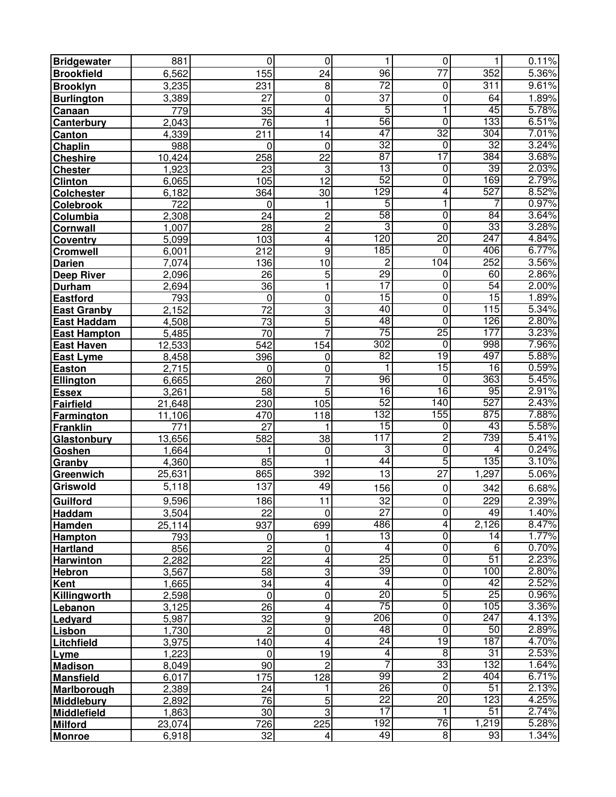| <b>Bridgewater</b>     | 881                | $\overline{0}$   | $\mathbf 0$          | 1                      | $\pmb{0}$           | 1               | 0.11%          |
|------------------------|--------------------|------------------|----------------------|------------------------|---------------------|-----------------|----------------|
| <b>Brookfield</b>      | 6,562              | 155              | 24                   | $\overline{96}$        | $\overline{77}$     | 352             | 5.36%          |
| <b>Brooklyn</b>        | 3,235              | 231              | 8                    | $\overline{72}$        | 0                   | 311             | 9.61%          |
| <b>Burlington</b>      | 3,389              | 27               | 0                    | $\overline{37}$        | 0                   | 64              | 1.89%          |
| Canaan                 | 779                | 35               | 4                    | $\overline{5}$         | 1                   | 45              | 5.78%          |
| Canterbury             | 2,043              | 76               | 1                    | 56                     | $\overline{0}$      | 133             | 6.51%          |
| Canton                 | 4,339              | 211              | 14                   | 47                     | $\overline{32}$     | 304             | 7.01%          |
| Chaplin                | 988                | 0                | 0                    | $\overline{32}$        | $\overline{0}$      | $\overline{32}$ | 3.24%          |
| <b>Cheshire</b>        | 10,424             | 258              | $\overline{22}$      | 87                     | 17                  | 384             | 3.68%          |
| <b>Chester</b>         | 1,923              | 23               | 3                    | 13                     | 0                   | 39              | 2.03%          |
| <b>Clinton</b>         | 6,065              | 105              | $\overline{12}$      | 52                     | $\overline{0}$      | 169             | 2.79%          |
| <b>Colchester</b>      | 6,182              | 364              | 30                   | 129                    | 4                   | 527             | 8.52%          |
| <b>Colebrook</b>       | 722                | 0                | 1                    | 5                      | 1                   | 7               | 0.97%          |
| Columbia               | 2,308              | 24               | $\overline{2}$       | 58                     | $\overline{0}$      | 84              | 3.64%          |
| <b>Cornwall</b>        | 1,007              | $\overline{28}$  | $\overline{2}$       | 3                      | $\overline{0}$      | 33              | 3.28%          |
| <b>Coventry</b>        | 5,099              | 103              | 4                    | 120                    | $\overline{20}$     | 247             | 4.84%          |
| <b>Cromwell</b>        | 6,001              | 212              | 9                    | 185                    | 0                   | 406             | 6.77%          |
| <b>Darien</b>          | $\overline{7,074}$ | 136              | 10                   | $\overline{2}$         | 104                 | 252             | 3.56%          |
| <b>Deep River</b>      | 2,096              | 26               | $\overline{5}$       | 29                     | 0                   | 60              | 2.86%          |
| <b>Durham</b>          | 2,694              | 36               | 1                    | $\overline{17}$        | 0                   | 54              | 2.00%          |
| <b>Eastford</b>        | 793                | 0                | 0                    | 15                     | $\overline{0}$      | 15              | 1.89%          |
| <b>East Granby</b>     | 2,152              | 72               | $\overline{3}$       | 40                     | $\overline{0}$      | 115             | 5.34%          |
| <b>East Haddam</b>     | 4,508              | 73               | 5                    | 48                     | $\overline{0}$      | 126             | 2.80%          |
| <b>East Hampton</b>    | 5,485              | $\overline{70}$  | $\overline{7}$       | 75                     | $\overline{25}$     | 177             | 3.23%          |
| East Haven             | 12,533             | 542              | 154                  | 302                    | $\overline{0}$      | 998             | 7.96%          |
| <b>East Lyme</b>       | 8,458              | 396              | 0                    | 82                     | 19                  | 497             | 5.88%          |
| <b>Easton</b>          | 2,715              | 0                | 0                    | 1                      | 15                  | 16              | 0.59%          |
| Ellington              | 6,665              | 260              | 7                    | 96                     | 0                   | 363             | 5.45%          |
| <b>Essex</b>           | 3,261              | 58               | 5                    | 16                     | 16                  | 95              | 2.91%          |
| <b>Fairfield</b>       | 21,648             | 230              | 105                  | 52                     | 140                 | 527             | 2.43%          |
| Farmington             | 11,106             | 470              | 118                  | 132                    | 155                 | 875             | 7.88%          |
| <b>Franklin</b>        | $\overline{771}$   | $\overline{27}$  | 1                    | 15                     | $\overline{0}$      | 43              | 5.58%          |
| Glastonbury            | 13,656             | 582              | 38                   | 117                    | $\overline{2}$      | 739             | 5.41%          |
| Goshen                 | ,664<br>1          | 1                | 0                    | 3                      | 0                   | 4               | 0.24%          |
| Granby                 | 4,360              | 85               | $\mathbf 1$          | $\overline{44}$        | 5                   | 135             | 3.10%          |
| Greenwich              | 25,631             | 865              | 392                  | $\overline{13}$        | $\overline{27}$     | 1,297           | 5.06%          |
| <b>Griswold</b>        | 5,118              | 137              | 49                   | 156                    | 0                   | 342             | 6.68%          |
| <b>Guilford</b>        | 9,596              | 186              | $\overline{11}$      | $32\,$                 | $\overline{0}$      | 229             | 2.39%          |
| Haddam                 | 3,504              | 22               | $\mathbf 0$          | 27                     | 0                   | 49              | 1.40%          |
| Hamden                 | 25,114             | 937              | 699                  | 486                    | 4                   | 2,126           | 8.47%          |
| <b>Hampton</b>         | 793                | 0                | 1                    | 13                     | $\overline{0}$      | 14              | 1.77%          |
| <b>Hartland</b>        | 856                | $\overline{c}$   | 0                    | 4                      | $\overline{0}$      | 6               | 0.70%          |
| <b>Harwinton</b>       | 2,282              | $\overline{22}$  | 4                    | 25                     | $\overline{0}$      | 51              | 2.23%          |
| <b>Hebron</b>          | 3,567              | 58               | 3                    | 39                     | $\overline{0}$      | 100             | 2.80%          |
| <b>Kent</b>            | 1,665              | 34               | 4                    | 4                      | $\overline{0}$      | $\overline{42}$ | 2.52%          |
| Killingworth           | 2,598              | $\overline{0}$   | 0                    | $\overline{20}$        | 5                   | $\overline{25}$ | 0.96%          |
| Lebanon                | 3,125              | 26               | 4                    | $\overline{75}$<br>206 | $\overline{0}$      | 105             | 3.36%          |
| Ledyard                | 5,987              | 32               | 9                    | 48                     | 0<br>$\overline{0}$ | 247<br>50       | 4.13%<br>2.89% |
| Lisbon                 | 1,730              | $\overline{c}$   | 0                    | 24                     | 19                  | 187             | 4.70%          |
| Litchfield             | 3,975<br>1,223     | 140<br>$\pmb{0}$ | 4<br>$\overline{19}$ | 4                      | $\overline{8}$      | $\overline{31}$ | 2.53%          |
| Lyme<br><b>Madison</b> | 8,049              | 90               | $\overline{2}$       | 7                      | 33                  | 132             | 1.64%          |
| <b>Mansfield</b>       | 6,017              | 175              | 128                  | 99                     | $\overline{2}$      | 404             | 6.71%          |
| Marlborough            | 2,389              | 24               | 1                    | 26                     | $\overline{0}$      | 51              | 2.13%          |
| <b>Middlebury</b>      | 2,892              | 76               | 5                    | $\overline{22}$        | $\overline{20}$     | 123             | 4.25%          |
| Middlefield            | 1,863              | 30               | 3                    | 17                     | 1                   | 51              | 2.74%          |
| <b>Milford</b>         | 23,074             | 726              | 225                  | 192                    | 76                  | 1,219           | 5.28%          |
| <b>Monroe</b>          | 6,918              | 32               | 4                    | 49                     | 8                   | 93              | 1.34%          |
|                        |                    |                  |                      |                        |                     |                 |                |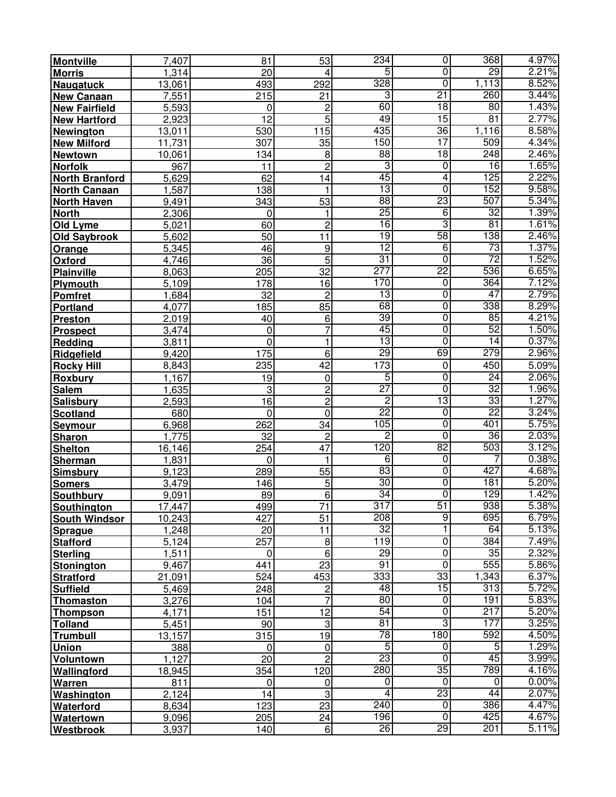| <b>Montville</b>      | 7,407     | 81               | 53                      | 234             | $\overline{0}$          | $\overline{368}$ | 4.97% |
|-----------------------|-----------|------------------|-------------------------|-----------------|-------------------------|------------------|-------|
| <b>Morris</b>         | 1,314     | $\overline{20}$  | 4                       | 5               | $\overline{0}$          | 29               | 2.21% |
| <b>Naugatuck</b>      | 13,061    | 493              | 292                     | 328             | $\overline{0}$          | 1,113            | 8.52% |
| <b>New Canaan</b>     | 7,551     | $\overline{215}$ | 21                      | $\overline{3}$  | $\overline{21}$         | 260              | 3.44% |
| <b>New Fairfield</b>  | 5,593     | 0                | $\overline{\mathbf{c}}$ | 60              | 18                      | $\overline{80}$  | 1.43% |
| <b>New Hartford</b>   | 2,923     | $\overline{12}$  | $\overline{5}$          | 49              | 15                      | 81               | 2.77% |
| Newington             | 13,011    | 530              | 115                     | 435             | 36                      | 1,116            | 8.58% |
| <b>New Milford</b>    | 11,731    | 307              | 35                      | 150             | 17                      | 509              | 4.34% |
| <b>Newtown</b>        | 10,061    | 134              | $\bf 8$                 | 88              | 18                      | 248              | 2.46% |
| <b>Norfolk</b>        | 967       | 11               | $\overline{c}$          | 3               | 0                       | $\overline{16}$  | 1.65% |
| <b>North Branford</b> | 5,629     | 62               | 14                      | 45              | 4                       | 125              | 2.22% |
| <b>North Canaan</b>   | ,587<br>1 | 138              | 1                       | 13              | $\overline{0}$          | 152              | 9.58% |
| <b>North Haven</b>    | 9,491     | 343              | 53                      | 88              | 23                      | 507              | 5.34% |
| <b>North</b>          | 2,306     | 0                | 1                       | $\overline{25}$ | $\overline{6}$          | 32               | 1.39% |
| Old Lyme              | 5,021     | 60               | $\overline{2}$          | 16              | 3                       | 81               | 1.61% |
| <b>Old Saybrook</b>   | 5,602     | 50               | 11                      | 19              | 58                      | 138              | 2.46% |
| Orange                | 5,345     | 46               | 9                       | $\overline{12}$ | 6                       | $\overline{73}$  | 1.37% |
| Oxford                | 4,746     | 36               | $\overline{5}$          | $\overline{31}$ | $\overline{0}$          | $\overline{72}$  | 1.52% |
| <b>Plainville</b>     | 8,063     | $\overline{205}$ | $\overline{32}$         | 277             | 22                      | 536              | 6.65% |
| Plymouth              | 5,109     | 178              | 16                      | 170             | $\overline{0}$          | 364              | 7.12% |
| <b>Pomfret</b>        | 1,684     | $\overline{32}$  | $\overline{c}$          | 13              | $\overline{0}$          | 47               | 2.79% |
| <b>Portland</b>       | 4,077     | 185              | 85                      | 68              | 0                       | 338              | 8.29% |
| Preston               | 2,019     | 40               | 6                       | 39              | $\overline{0}$          | 85               | 4.21% |
| <b>Prospect</b>       | 3,474     | 0                | $\overline{7}$          | 45              | $\overline{0}$          | 52               | 1.50% |
| Redding               | 3,811     | 0                | 1                       | 13              | $\overline{0}$          | $\overline{14}$  | 0.37% |
| Ridgefield            | 9,420     | 175              | 6                       | 29              | 69                      | 279              | 2.96% |
| <b>Rocky Hill</b>     | 8,843     | 235              | 42                      | 173             | $\pmb{0}$               | 450              | 5.09% |
| Roxbury               | 1,167     | 19               | $\pmb{0}$               | 5               | $\overline{0}$          | $\overline{24}$  | 2.06% |
| <b>Salem</b>          | 1,635     | 3                | $\overline{\mathbf{c}}$ | $\overline{27}$ | $\overline{0}$          | 32               | 1.96% |
| Salisbury             | 2,593     | $\overline{16}$  | $\overline{\mathbf{c}}$ | $\overline{2}$  | 13                      | 33               | 1.27% |
| <b>Scotland</b>       | 680       | 0                | 0                       | $\overline{22}$ | $\overline{0}$          | $\overline{22}$  | 3.24% |
| <b>Seymour</b>        | 6,968     | 262              | 34                      | 105             | $\overline{0}$          | 401              | 5.75% |
| Sharon                | 1,775     | 32               | $\overline{c}$          | $\overline{2}$  | $\overline{0}$          | 36               | 2.03% |
| <b>Shelton</b>        | 16,146    | 254              | 47                      | 120             | 82                      | 503              | 3.12% |
| <b>Sherman</b>        | 1,831     | 0                | 1                       | $\overline{6}$  | $\overline{0}$          |                  | 0.38% |
| <b>Simsbury</b>       | 9,123     | 289              | 55                      | 83              | $\overline{0}$          | 427              | 4.68% |
| <b>Somers</b>         | 3,479     | 146              | 5                       | 30              | $\overline{0}$          | 181              | 5.20% |
| <b>Southbury</b>      | 9,091     | 89               | 6                       | 34              | $\overline{0}$          | 129              | 1.42% |
| Southington           | 17,447    | 499              | $\overline{71}$         | 317             | $\overline{51}$         | 938              | 5.38% |
| <b>South Windsor</b>  | 10,243    | 427              | 51                      | 208             | 9                       | 695              | 6.79% |
| <b>Sprague</b>        | 1,248     | 20               | 11                      | $\overline{32}$ | 1                       | 64               | 5.13% |
| <b>Stafford</b>       | 5,124     | 257              | $\bf{8}$                | 119             | $\overline{0}$          | 384              | 7.49% |
| <b>Sterling</b>       | 1,511     | $\overline{0}$   | 6                       | 29              | $\overline{0}$          | 35               | 2.32% |
| <b>Stonington</b>     | 9,467     | 441              | 23                      | 91              | $\overline{0}$          | 555              | 5.86% |
| <b>Stratford</b>      | 21,091    | 524              | 453                     | 333             | 33                      | 1,343            | 6.37% |
| <b>Suffield</b>       | 5,469     | 248              | $\overline{\mathbf{c}}$ | 48              | 15                      | 313              | 5.72% |
| Thomaston             | 3,276     | 104              | 7                       | 80              | $\overline{0}$          | 191              | 5.83% |
| <b>Thompson</b>       | 4,171     | 151              | 12                      | 54              | $\overline{0}$          | 217              | 5.20% |
| Tolland               | 5,451     | 90               | $\sqrt{3}$              | 81              | 3                       | 177              | 3.25% |
| <b>Trumbull</b>       | 13,157    | 315              | 19                      | 78              | 180                     | 592              | 4.50% |
| <b>Union</b>          | 388       | 0                | $\pmb{0}$               | $\overline{5}$  | $\pmb{0}$               | 5                | 1.29% |
| Voluntown             | 1,127     | 20               | $\overline{2}$          | 23              | $\overline{0}$          | 45               | 3.99% |
| Wallingford           | 18,945    | 354              | 120                     | 280             | 35                      | 789              | 4.16% |
| Warren                | 811       | $\mathbf 0$      | 0                       | $\overline{0}$  | $\overline{\mathsf{o}}$ | 0                | 0.00% |
| Washington            | 2,124     | 14               | 3                       | 4               | $\overline{23}$         | 44               | 2.07% |
| Waterford             | 8,634     | 123              | $\overline{23}$         | 240             | $\overline{0}$          | 386              | 4.47% |
| Watertown             | 9,096     | 205              | 24                      | 196             | $\overline{0}$          | 425              | 4.67% |
| Westbrook             | 3,937     | 140              | 6                       | 26              | 29                      | 201              | 5.11% |
|                       |           |                  |                         |                 |                         |                  |       |